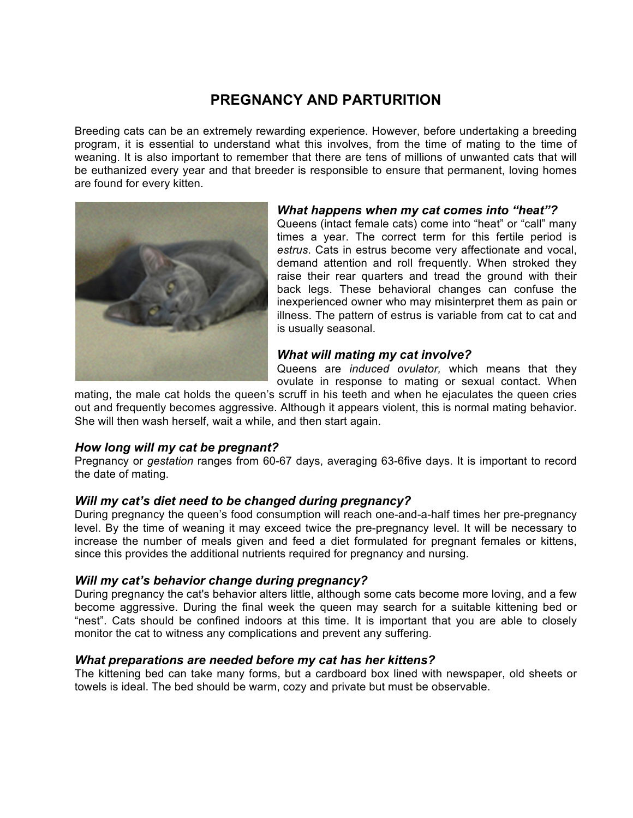# **PREGNANCY AND PARTURITION**

Breeding cats can be an extremely rewarding experience. However, before undertaking a breeding program, it is essential to understand what this involves, from the time of mating to the time of weaning. It is also important to remember that there are tens of millions of unwanted cats that will be euthanized every year and that breeder is responsible to ensure that permanent, loving homes are found for every kitten.



#### *What happens when my cat comes into "heat"?*

Queens (intact female cats) come into "heat" or "call" many times a year. The correct term for this fertile period is *estrus*. Cats in estrus become very affectionate and vocal, demand attention and roll frequently. When stroked they raise their rear quarters and tread the ground with their back legs. These behavioral changes can confuse the inexperienced owner who may misinterpret them as pain or illness. The pattern of estrus is variable from cat to cat and is usually seasonal.

# *What will mating my cat involve?*

Queens are *induced ovulator,* which means that they ovulate in response to mating or sexual contact. When

mating, the male cat holds the queen's scruff in his teeth and when he ejaculates the queen cries out and frequently becomes aggressive. Although it appears violent, this is normal mating behavior. She will then wash herself, wait a while, and then start again.

# *How long will my cat be pregnant?*

Pregnancy or *gestation* ranges from 60-67 days, averaging 63-6five days. It is important to record the date of mating.

# *Will my cat's diet need to be changed during pregnancy?*

During pregnancy the queen's food consumption will reach one-and-a-half times her pre-pregnancy level. By the time of weaning it may exceed twice the pre-pregnancy level. It will be necessary to increase the number of meals given and feed a diet formulated for pregnant females or kittens, since this provides the additional nutrients required for pregnancy and nursing.

### *Will my cat's behavior change during pregnancy?*

During pregnancy the cat's behavior alters little, although some cats become more loving, and a few become aggressive. During the final week the queen may search for a suitable kittening bed or "nest". Cats should be confined indoors at this time. It is important that you are able to closely monitor the cat to witness any complications and prevent any suffering.

### *What preparations are needed before my cat has her kittens?*

The kittening bed can take many forms, but a cardboard box lined with newspaper, old sheets or towels is ideal. The bed should be warm, cozy and private but must be observable.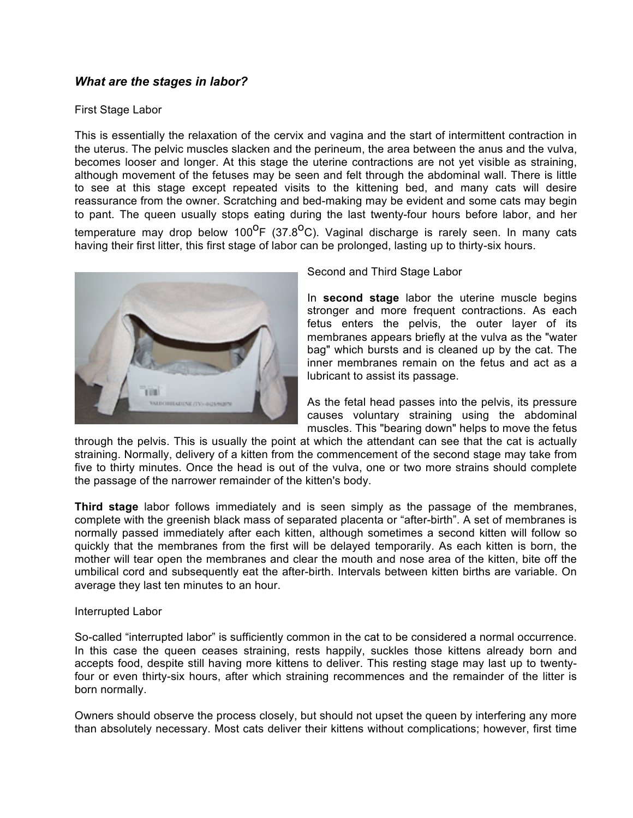# *What are the stages in labor?*

#### First Stage Labor

This is essentially the relaxation of the cervix and vagina and the start of intermittent contraction in the uterus. The pelvic muscles slacken and the perineum, the area between the anus and the vulva, becomes looser and longer. At this stage the uterine contractions are not yet visible as straining, although movement of the fetuses may be seen and felt through the abdominal wall. There is little to see at this stage except repeated visits to the kittening bed, and many cats will desire reassurance from the owner. Scratching and bed-making may be evident and some cats may begin to pant. The queen usually stops eating during the last twenty-four hours before labor, and her

temperature may drop below 100<sup>0</sup>F (37.8<sup>o</sup>C). Vaginal discharge is rarely seen. In many cats having their first litter, this first stage of labor can be prolonged, lasting up to thirty-six hours.



Second and Third Stage Labor

In **second stage** labor the uterine muscle begins stronger and more frequent contractions. As each fetus enters the pelvis, the outer layer of its membranes appears briefly at the vulva as the "water bag" which bursts and is cleaned up by the cat. The inner membranes remain on the fetus and act as a lubricant to assist its passage.

As the fetal head passes into the pelvis, its pressure causes voluntary straining using the abdominal muscles. This "bearing down" helps to move the fetus

through the pelvis. This is usually the point at which the attendant can see that the cat is actually straining. Normally, delivery of a kitten from the commencement of the second stage may take from five to thirty minutes. Once the head is out of the vulva, one or two more strains should complete the passage of the narrower remainder of the kitten's body.

**Third stage** labor follows immediately and is seen simply as the passage of the membranes, complete with the greenish black mass of separated placenta or "after-birth". A set of membranes is normally passed immediately after each kitten, although sometimes a second kitten will follow so quickly that the membranes from the first will be delayed temporarily. As each kitten is born, the mother will tear open the membranes and clear the mouth and nose area of the kitten, bite off the umbilical cord and subsequently eat the after-birth. Intervals between kitten births are variable. On average they last ten minutes to an hour.

#### Interrupted Labor

So-called "interrupted labor" is sufficiently common in the cat to be considered a normal occurrence. In this case the queen ceases straining, rests happily, suckles those kittens already born and accepts food, despite still having more kittens to deliver. This resting stage may last up to twentyfour or even thirty-six hours, after which straining recommences and the remainder of the litter is born normally.

Owners should observe the process closely, but should not upset the queen by interfering any more than absolutely necessary. Most cats deliver their kittens without complications; however, first time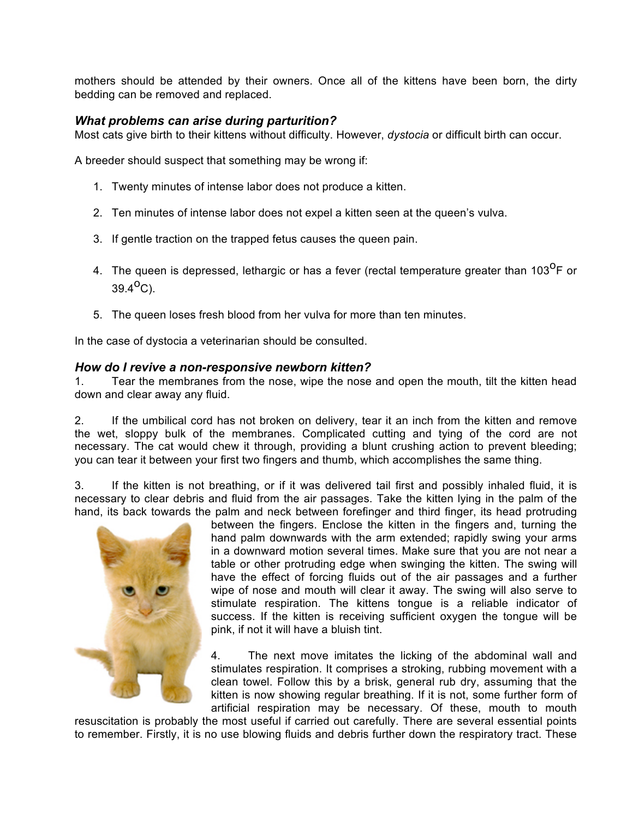mothers should be attended by their owners. Once all of the kittens have been born, the dirty bedding can be removed and replaced.

### *What problems can arise during parturition?*

Most cats give birth to their kittens without difficulty. However, *dystocia* or difficult birth can occur.

A breeder should suspect that something may be wrong if:

- 1. Twenty minutes of intense labor does not produce a kitten.
- 2. Ten minutes of intense labor does not expel a kitten seen at the queen's vulva.
- 3. If gentle traction on the trapped fetus causes the queen pain.
- 4. The queen is depressed, lethargic or has a fever (rectal temperature greater than 103<sup>0</sup>F or  $39.4^{0}C$ ).
- 5. The queen loses fresh blood from her vulva for more than ten minutes.

In the case of dystocia a veterinarian should be consulted.

#### *How do I revive a non-responsive newborn kitten?*

1. Tear the membranes from the nose, wipe the nose and open the mouth, tilt the kitten head down and clear away any fluid.

2. If the umbilical cord has not broken on delivery, tear it an inch from the kitten and remove the wet, sloppy bulk of the membranes. Complicated cutting and tying of the cord are not necessary. The cat would chew it through, providing a blunt crushing action to prevent bleeding; you can tear it between your first two fingers and thumb, which accomplishes the same thing.

3. If the kitten is not breathing, or if it was delivered tail first and possibly inhaled fluid, it is necessary to clear debris and fluid from the air passages. Take the kitten lying in the palm of the hand, its back towards the palm and neck between forefinger and third finger, its head protruding



between the fingers. Enclose the kitten in the fingers and, turning the hand palm downwards with the arm extended; rapidly swing your arms in a downward motion several times. Make sure that you are not near a table or other protruding edge when swinging the kitten. The swing will have the effect of forcing fluids out of the air passages and a further wipe of nose and mouth will clear it away. The swing will also serve to stimulate respiration. The kittens tongue is a reliable indicator of success. If the kitten is receiving sufficient oxygen the tongue will be pink, if not it will have a bluish tint.

4. The next move imitates the licking of the abdominal wall and stimulates respiration. It comprises a stroking, rubbing movement with a clean towel. Follow this by a brisk, general rub dry, assuming that the kitten is now showing regular breathing. If it is not, some further form of artificial respiration may be necessary. Of these, mouth to mouth

resuscitation is probably the most useful if carried out carefully. There are several essential points to remember. Firstly, it is no use blowing fluids and debris further down the respiratory tract. These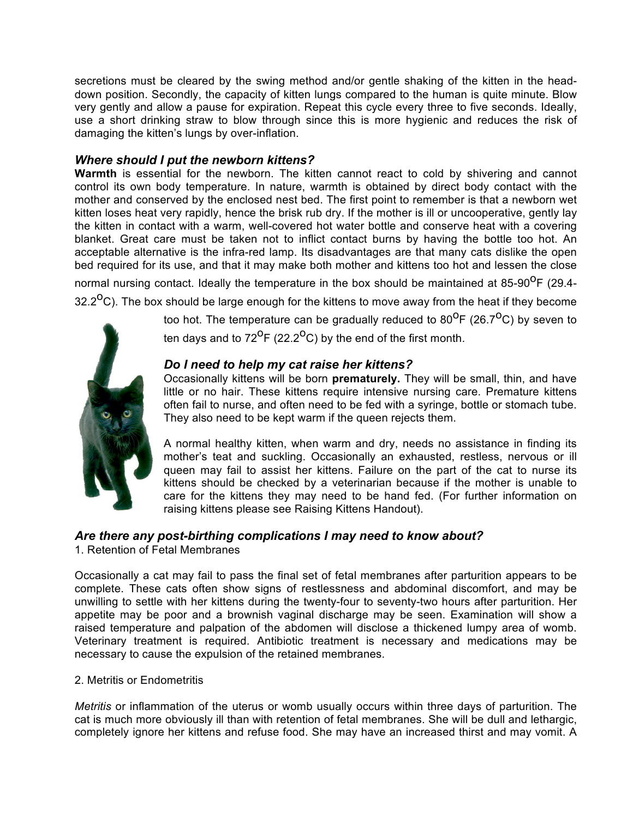secretions must be cleared by the swing method and/or gentle shaking of the kitten in the headdown position. Secondly, the capacity of kitten lungs compared to the human is quite minute. Blow very gently and allow a pause for expiration. Repeat this cycle every three to five seconds. Ideally, use a short drinking straw to blow through since this is more hygienic and reduces the risk of damaging the kitten's lungs by over-inflation.

### *Where should I put the newborn kittens?*

**Warmth** is essential for the newborn. The kitten cannot react to cold by shivering and cannot control its own body temperature. In nature, warmth is obtained by direct body contact with the mother and conserved by the enclosed nest bed. The first point to remember is that a newborn wet kitten loses heat very rapidly, hence the brisk rub dry. If the mother is ill or uncooperative, gently lay the kitten in contact with a warm, well-covered hot water bottle and conserve heat with a covering blanket. Great care must be taken not to inflict contact burns by having the bottle too hot. An acceptable alternative is the infra-red lamp. Its disadvantages are that many cats dislike the open bed required for its use, and that it may make both mother and kittens too hot and lessen the close normal nursing contact. Ideally the temperature in the box should be maintained at 85-90 $^{0}F$  (29.4-

32.2<sup>o</sup>C). The box should be large enough for the kittens to move away from the heat if they become

too hot. The temperature can be gradually reduced to  $80^{\circ}F$  (26.7<sup>o</sup>C) by seven to

ten days and to  $72^{\circ}F$  (22.2<sup>o</sup>C) by the end of the first month.

# *Do I need to help my cat raise her kittens?*

Occasionally kittens will be born **prematurely.** They will be small, thin, and have little or no hair. These kittens require intensive nursing care. Premature kittens often fail to nurse, and often need to be fed with a syringe, bottle or stomach tube. They also need to be kept warm if the queen rejects them.

A normal healthy kitten, when warm and dry, needs no assistance in finding its mother's teat and suckling. Occasionally an exhausted, restless, nervous or ill queen may fail to assist her kittens. Failure on the part of the cat to nurse its kittens should be checked by a veterinarian because if the mother is unable to care for the kittens they may need to be hand fed. (For further information on raising kittens please see Raising Kittens Handout).

# *Are there any post-birthing complications I may need to know about?*

1. Retention of Fetal Membranes

Occasionally a cat may fail to pass the final set of fetal membranes after parturition appears to be complete. These cats often show signs of restlessness and abdominal discomfort, and may be unwilling to settle with her kittens during the twenty-four to seventy-two hours after parturition. Her appetite may be poor and a brownish vaginal discharge may be seen. Examination will show a raised temperature and palpation of the abdomen will disclose a thickened lumpy area of womb. Veterinary treatment is required. Antibiotic treatment is necessary and medications may be necessary to cause the expulsion of the retained membranes.

### 2. Metritis or Endometritis

*Metritis* or inflammation of the uterus or womb usually occurs within three days of parturition. The cat is much more obviously ill than with retention of fetal membranes. She will be dull and lethargic, completely ignore her kittens and refuse food. She may have an increased thirst and may vomit. A